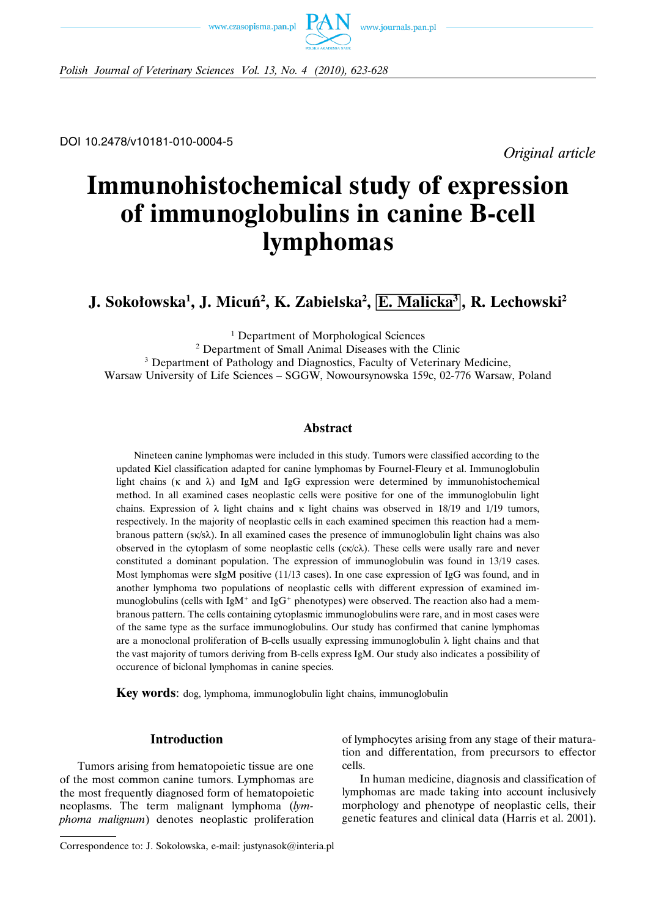



*Polish Journal of Veterinary Sciences Vol. 13, No. 4 (2010), 623-628*

DOI 10.2478/v10181-010-0004-5

*Original article*

# **Immunohistochemical study of expression of immunoglobulins in canine B-cell lymphomas**

**J. Sokołowska1 , J. Micuń2 , K. Zabielska2 , E. Malicka3 , R. Lechowski2**

<sup>1</sup> Department of Morphological Sciences <sup>2</sup> Department of Small Animal Diseases with the Clinic <sup>3</sup> Department of Pathology and Diagnostics, Faculty of Veterinary Medicine, Warsaw University of Life Sciences – SGGW, Nowoursynowska 159c, 02-776 Warsaw, Poland

# **Abstract**

Nineteen canine lymphomas were included in this study. Tumors were classified according to the updated Kiel classification adapted for canine lymphomas by Fournel-Fleury et al. Immunoglobulin light chains (κ and λ) and IgM and IgG expression were determined by immunohistochemical method. In all examined cases neoplastic cells were positive for one of the immunoglobulin light chains. Expression of  $\lambda$  light chains and κ light chains was observed in 18/19 and 1/19 tumors, respectively. In the majority of neoplastic cells in each examined specimen this reaction had a membranous pattern  $(s\kappa/s\lambda)$ . In all examined cases the presence of immunoglobulin light chains was also observed in the cytoplasm of some neoplastic cells  $(c\kappa/c\lambda)$ . These cells were usally rare and never constituted a dominant population. The expression of immunoglobulin was found in 13/19 cases. Most lymphomas were sIgM positive (11/13 cases). In one case expression of IgG was found, and in another lymphoma two populations of neoplastic cells with different expression of examined immunoglobulins (cells with IgM<sup>+</sup> and IgG<sup>+</sup> phenotypes) were observed. The reaction also had a membranous pattern. The cells containing cytoplasmic immunoglobulins were rare, and in most cases were of the same type as the surface immunoglobulins. Our study has confirmed that canine lymphomas are a monoclonal proliferation of B-cells usually expressing immunoglobulin  $\lambda$  light chains and that the vast majority of tumors deriving from B-cells express IgM. Our study also indicates a possibility of occurence of biclonal lymphomas in canine species.

**Key words**: dog, lymphoma, immunoglobulin light chains, immunoglobulin

## **Introduction**

Tumors arising from hematopoietic tissue are one of the most common canine tumors. Lymphomas are the most frequently diagnosed form of hematopoietic neoplasms. The term malignant lymphoma (*lymphoma malignum*) denotes neoplastic proliferation of lymphocytes arising from any stage of their maturation and differentation, from precursors to effector cells.

In human medicine, diagnosis and classification of lymphomas are made taking into account inclusively morphology and phenotype of neoplastic cells, their genetic features and clinical data (Harris et al. 2001).

Correspondence to: J. Sokołowska, e-mail: justynasok@interia.pl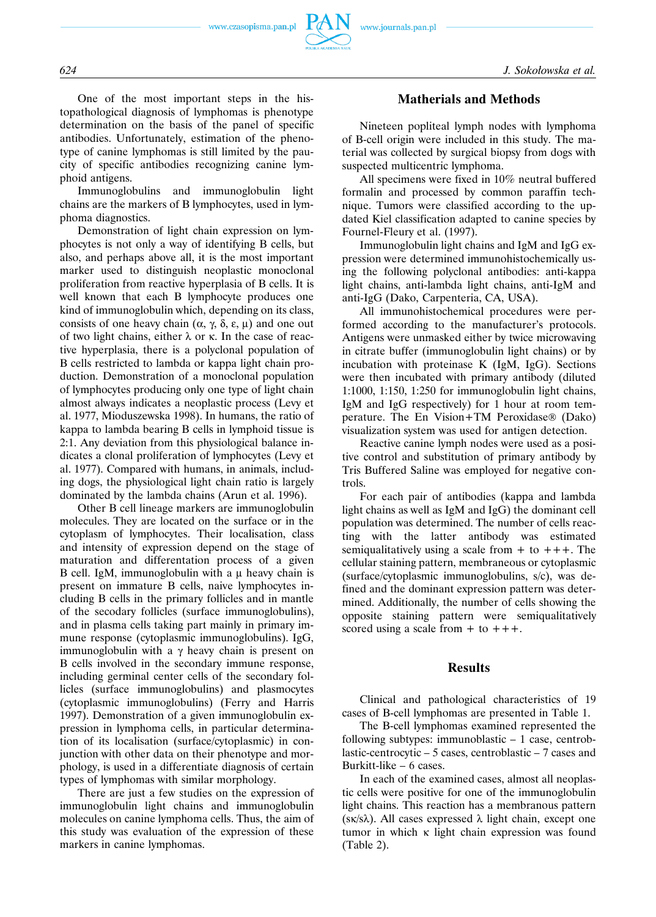

*624 J. Sokołowska et al.*

One of the most important steps in the histopathological diagnosis of lymphomas is phenotype determination on the basis of the panel of specific antibodies. Unfortunately, estimation of the phenotype of canine lymphomas is still limited by the paucity of specific antibodies recognizing canine lymphoid antigens.

Immunoglobulins and immunoglobulin light chains are the markers of B lymphocytes, used in lymphoma diagnostics.

Demonstration of light chain expression on lymphocytes is not only a way of identifying B cells, but also, and perhaps above all, it is the most important marker used to distinguish neoplastic monoclonal proliferation from reactive hyperplasia of B cells. It is well known that each B lymphocyte produces one kind of immunoglobulin which, depending on its class, consists of one heavy chain  $(α, γ, δ, ε, μ)$  and one out of two light chains, either λ or κ. In the case of reactive hyperplasia, there is a polyclonal population of B cells restricted to lambda or kappa light chain production. Demonstration of a monoclonal population of lymphocytes producing only one type of light chain almost always indicates a neoplastic process (Levy et al. 1977, Mioduszewska 1998). In humans, the ratio of kappa to lambda bearing B cells in lymphoid tissue is 2:1. Any deviation from this physiological balance indicates a clonal proliferation of lymphocytes (Levy et al. 1977). Compared with humans, in animals, including dogs, the physiological light chain ratio is largely dominated by the lambda chains (Arun et al. 1996).

Other B cell lineage markers are immunoglobulin molecules. They are located on the surface or in the cytoplasm of lymphocytes. Their localisation, class and intensity of expression depend on the stage of maturation and differentation process of a given B cell. IgM, immunoglobulin with a μ heavy chain is present on immature B cells, naive lymphocytes including B cells in the primary follicles and in mantle of the secodary follicles (surface immunoglobulins), and in plasma cells taking part mainly in primary immune response (cytoplasmic immunoglobulins). IgG, immunoglobulin with a  $\gamma$  heavy chain is present on B cells involved in the secondary immune response, including germinal center cells of the secondary follicles (surface immunoglobulins) and plasmocytes (cytoplasmic immunoglobulins) (Ferry and Harris 1997). Demonstration of a given immunoglobulin expression in lymphoma cells, in particular determination of its localisation (surface/cytoplasmic) in conjunction with other data on their phenotype and morphology, is used in a differentiate diagnosis of certain types of lymphomas with similar morphology.

There are just a few studies on the expression of immunoglobulin light chains and immunoglobulin molecules on canine lymphoma cells. Thus, the aim of this study was evaluation of the expression of these markers in canine lymphomas.

## **Matherials and Methods**

Nineteen popliteal lymph nodes with lymphoma of B-cell origin were included in this study. The material was collected by surgical biopsy from dogs with suspected multicentric lymphoma.

All specimens were fixed in 10% neutral buffered formalin and processed by common paraffin technique. Tumors were classified according to the updated Kiel classification adapted to canine species by Fournel-Fleury et al. (1997).

Immunoglobulin light chains and IgM and IgG expression were determined immunohistochemically using the following polyclonal antibodies: anti-kappa light chains, anti-lambda light chains, anti-IgM and anti-IgG (Dako, Carpenteria, CA, USA).

All immunohistochemical procedures were performed according to the manufacturer's protocols. Antigens were unmasked either by twice microwaving in citrate buffer (immunoglobulin light chains) or by incubation with proteinase K (IgM, IgG). Sections were then incubated with primary antibody (diluted 1:1000, 1:150, 1:250 for immunoglobulin light chains, IgM and IgG respectively) for 1 hour at room temperature. The En Vision+TM Peroxidase® (Dako) visualization system was used for antigen detection.

Reactive canine lymph nodes were used as a positive control and substitution of primary antibody by Tris Buffered Saline was employed for negative controls.

For each pair of antibodies (kappa and lambda light chains as well as IgM and IgG) the dominant cell population was determined. The number of cells reacting with the latter antibody was estimated semiqualitatively using a scale from  $+$  to  $+++$ . The cellular staining pattern, membraneous or cytoplasmic (surface/cytoplasmic immunoglobulins, s/c), was defined and the dominant expression pattern was determined. Additionally, the number of cells showing the opposite staining pattern were semiqualitatively scored using a scale from  $+$  to  $+++$ .

#### **Results**

Clinical and pathological characteristics of 19 cases of B-cell lymphomas are presented in Table 1.

The B-cell lymphomas examined represented the following subtypes: immunoblastic – 1 case, centroblastic-centrocytic – 5 cases, centroblastic – 7 cases and Burkitt-like – 6 cases.

In each of the examined cases, almost all neoplastic cells were positive for one of the immunoglobulin light chains. This reaction has a membranous pattern (sk/s $\lambda$ ). All cases expressed  $\lambda$  light chain, except one tumor in which κ light chain expression was found (Table 2).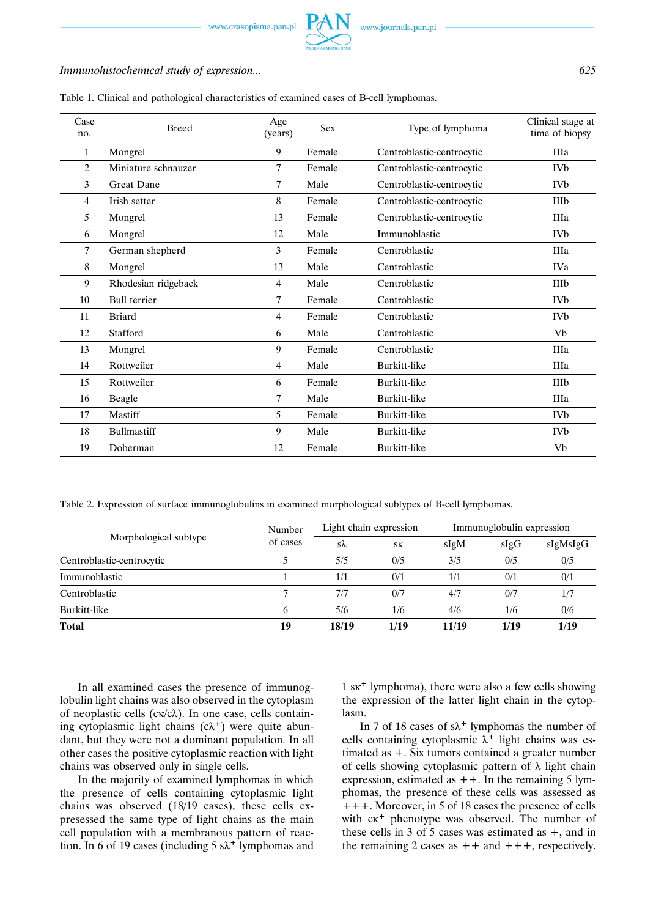## *Immunohistochemical study of expression... 625*

| Case<br>no.    | <b>Breed</b>        | Age<br>(years) | <b>Sex</b> | Type of lymphoma          | Clinical stage at<br>time of biopsy |
|----------------|---------------------|----------------|------------|---------------------------|-------------------------------------|
| 1              | Mongrel             | 9              | Female     | Centroblastic-centrocytic | <b>IIIa</b>                         |
| $\overline{c}$ | Miniature schnauzer | 7              | Female     | Centroblastic-centrocytic | <b>IV<sub>b</sub></b>               |
| 3              | <b>Great Dane</b>   | 7              | Male       | Centroblastic-centrocytic | <b>IV<sub>b</sub></b>               |
| 4              | Irish setter        | 8              | Female     | Centroblastic-centrocytic | <b>IIIb</b>                         |
| 5              | Mongrel             | 13             | Female     | Centroblastic-centrocytic | IIIa                                |
| 6              | Mongrel             | 12             | Male       | Immunoblastic             | <b>IV<sub>b</sub></b>               |
| 7              | German shepherd     | 3              | Female     | Centroblastic             | IIIa                                |
| 8              | Mongrel             | 13             | Male       | Centroblastic             | <b>IVa</b>                          |
| 9              | Rhodesian ridgeback | $\overline{4}$ | Male       | Centroblastic             | IIIb                                |
| 10             | <b>Bull</b> terrier | $\overline{7}$ | Female     | Centroblastic             | <b>IV<sub>b</sub></b>               |
| 11             | <b>Briard</b>       | 4              | Female     | Centroblastic             | <b>IV<sub>b</sub></b>               |
| 12             | Stafford            | 6              | Male       | Centroblastic             | Vb                                  |
| 13             | Mongrel             | 9              | Female     | Centroblastic             | IIIa                                |
| 14             | Rottweiler          | 4              | Male       | Burkitt-like              | IIIa                                |
| 15             | Rottweiler          | 6              | Female     | Burkitt-like              | <b>IIIb</b>                         |
| 16             | Beagle              | $\overline{7}$ | Male       | Burkitt-like              | <b>IIIa</b>                         |
| 17             | Mastiff             | 5              | Female     | Burkitt-like              | <b>IV<sub>b</sub></b>               |
| 18             | <b>Bullmastiff</b>  | 9              | Male       | Burkitt-like              | <b>IV<sub>b</sub></b>               |
| 19             | Doberman            | 12             | Female     | Burkitt-like              | Vb                                  |

Table 1. Clinical and pathological characteristics of examined cases of B-cell lymphomas.

Table 2. Expression of surface immunoglobulins in examined morphological subtypes of B-cell lymphomas.

|                           | Number   |            | Light chain expression | Immunoglobulin expression |      |          |  |
|---------------------------|----------|------------|------------------------|---------------------------|------|----------|--|
| Morphological subtype     | of cases | $s\lambda$ | S <sub>K</sub>         | sIgM                      | sIgG | sIgMsIgG |  |
| Centroblastic-centrocytic |          | 5/5        | 0/5                    | 3/5                       | 0/5  | 0/5      |  |
| Immunoblastic             |          | 1/1        | 0/1                    | 1/1                       | 0/1  | 0/1      |  |
| Centroblastic             |          | 7/7        | 0/7                    | 4/7                       | 0/7  | 1/7      |  |
| Burkitt-like              |          | 5/6        | 1/6                    | 4/6                       | 1/6  | 0/6      |  |
| Total                     | 19       | 18/19      | 1/19                   | 11/19                     | 1/19 | 1/19     |  |

In all examined cases the presence of immunoglobulin light chains was also observed in the cytoplasm of neoplastic cells  $(c\kappa/c\lambda)$ . In one case, cells containing cytoplasmic light chains (cλ**<sup>+</sup>**) were quite abundant, but they were not a dominant population. In all other cases the positive cytoplasmic reaction with light chains was observed only in single cells.

In the majority of examined lymphomas in which the presence of cells containing cytoplasmic light chains was observed (18/19 cases), these cells expresessed the same type of light chains as the main cell population with a membranous pattern of reaction. In 6 of 19 cases (including 5 sλ**<sup>+</sup>** lymphomas and

1 sκ**<sup>+</sup>** lymphoma), there were also a few cells showing the expression of the latter light chain in the cytoplasm.

In 7 of 18 cases of sλ**<sup>+</sup>** lymphomas the number of cells containing cytoplasmic λ**<sup>+</sup>** light chains was estimated as +. Six tumors contained a greater number of cells showing cytoplasmic pattern of λ light chain expression, estimated as  $++$ . In the remaining 5 lymphomas, the presence of these cells was assessed as +++. Moreover, in 5 of 18 cases the presence of cells with cκ**<sup>+</sup>** phenotype was observed. The number of these cells in 3 of 5 cases was estimated as  $+$ , and in the remaining 2 cases as  $++$  and  $+++$ , respectively.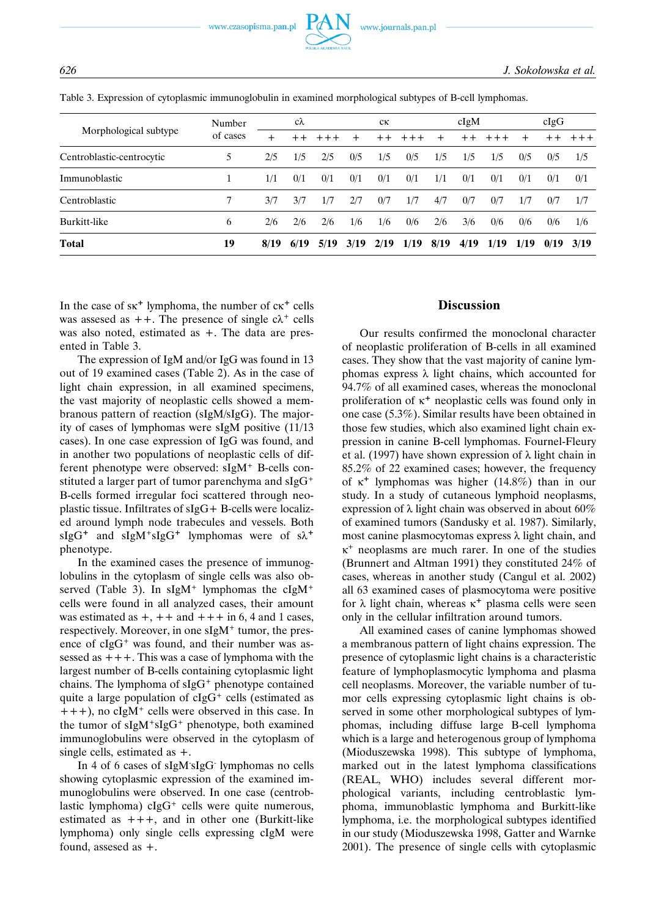www.czasopisma.pan.pl

www.journals.pan.pl

|                           | Number<br>of cases | $c\lambda$ |      |         | $c\kappa$ |               |               | clgM |      |       | cIgG |      |       |
|---------------------------|--------------------|------------|------|---------|-----------|---------------|---------------|------|------|-------|------|------|-------|
| Morphological subtype     |                    | $\pm$      | $^+$ | $+ + +$ |           | $+$<br>$\div$ | $\pm$<br>$^+$ |      | ┿    | $+++$ |      | ┿    | $+++$ |
| Centroblastic-centrocytic | 5                  | 2/5        | 1/5  | 2/5     | 0/5       | 1/5           | 0/5           | 1/5  | 1/5  | 1/5   | 0/5  | 0/5  | 1/5   |
| Immunoblastic             |                    | 1/1        | 0/1  | 0/1     | 0/1       | 0/1           | 0/1           | 1/1  | 0/1  | 0/1   | 0/1  | 0/1  | 0/1   |
| Centroblastic             | 7                  | 3/7        | 3/7  | 1/7     | 2/7       | 0/7           | 1/7           | 4/7  | 0/7  | 0/7   | 1/7  | 0/7  | 1/7   |
| Burkitt-like              | 6                  | 2/6        | 2/6  | 2/6     | 1/6       | 1/6           | 0/6           | 2/6  | 3/6  | 0/6   | 0/6  | 0/6  | 1/6   |
| <b>Total</b>              | 19                 | 8/19       | 6/19 | 5/19    | 3/19      | 2/19          | 1/19          | 8/19 | 4/19 | 1/19  | 1/19 | 0/19 | 3/19  |

In the case of sκ**<sup>+</sup>** lymphoma, the number of cκ**<sup>+</sup>** cells was assesed as  $++$ . The presence of single  $c\lambda^{+}$  cells was also noted, estimated as  $+$ . The data are presented in Table 3.

The expression of IgM and/or IgG was found in 13 out of 19 examined cases (Table 2). As in the case of light chain expression, in all examined specimens, the vast majority of neoplastic cells showed a membranous pattern of reaction (sIgM/sIgG). The majority of cases of lymphomas were sIgM positive (11/13 cases). In one case expression of IgG was found, and in another two populations of neoplastic cells of different phenotype were observed: sIgM<sup>+</sup> B-cells constituted a larger part of tumor parenchyma and sIgG<sup>+</sup> B-cells formed irregular foci scattered through neoplastic tissue. Infiltrates of sIgG+ B-cells were localized around lymph node trabecules and vessels. Both sIgG**<sup>+</sup>** and sIgM+sIgG**<sup>+</sup>** lymphomas were of sλ**<sup>+</sup>** phenotype.

In the examined cases the presence of immunoglobulins in the cytoplasm of single cells was also observed (Table 3). In  $slgM^+$  lymphomas the  $clgM^+$ cells were found in all analyzed cases, their amount was estimated as  $+,++$  and  $++$  in 6, 4 and 1 cases, respectively. Moreover, in one  $\text{sigM}^+$  tumor, the presence of  $cIgG<sup>+</sup>$  was found, and their number was assessed as  $++$ . This was a case of lymphoma with the largest number of B-cells containing cytoplasmic light chains. The lymphoma of sIgG<sup>+</sup> phenotype contained quite a large population of  $cIgG<sup>+</sup>$  cells (estimated as  $++$ ), no cIgM<sup>+</sup> cells were observed in this case. In the tumor of sIgM+sIgG+ phenotype, both examined immunoglobulins were observed in the cytoplasm of single cells, estimated as +.

In 4 of 6 cases of sIgM-sIgG- lymphomas no cells showing cytoplasmic expression of the examined immunoglobulins were observed. In one case (centroblastic lymphoma)  $cIgG<sup>+</sup>$  cells were quite numerous, estimated as  $+++$ , and in other one (Burkitt-like lymphoma) only single cells expressing cIgM were found, assesed as +.

## **Discussion**

Our results confirmed the monoclonal character of neoplastic proliferation of B-cells in all examined cases. They show that the vast majority of canine lymphomas express  $λ$  light chains, which accounted for 94.7% of all examined cases, whereas the monoclonal proliferation of κ**<sup>+</sup>** neoplastic cells was found only in one case (5.3%). Similar results have been obtained in those few studies, which also examined light chain expression in canine B-cell lymphomas. Fournel-Fleury et al. (1997) have shown expression of  $\lambda$  light chain in 85.2% of 22 examined cases; however, the frequency of κ**<sup>+</sup>** lymphomas was higher (14.8%) than in our study. In a study of cutaneous lymphoid neoplasms, expression of  $\lambda$  light chain was observed in about 60% of examined tumors (Sandusky et al. 1987). Similarly, most canine plasmocytomas express  $\lambda$  light chain, and  $\kappa^+$  neoplasms are much rarer. In one of the studies (Brunnert and Altman 1991) they constituted 24% of cases, whereas in another study (Cangul et al. 2002) all 63 examined cases of plasmocytoma were positive for λ light chain, whereas κ**<sup>+</sup>** plasma cells were seen only in the cellular infiltration around tumors.

All examined cases of canine lymphomas showed a membranous pattern of light chains expression. The presence of cytoplasmic light chains is a characteristic feature of lymphoplasmocytic lymphoma and plasma cell neoplasms. Moreover, the variable number of tumor cells expressing cytoplasmic light chains is observed in some other morphological subtypes of lymphomas, including diffuse large B-cell lymphoma which is a large and heterogenous group of lymphoma (Mioduszewska 1998). This subtype of lymphoma, marked out in the latest lymphoma classifications (REAL, WHO) includes several different morphological variants, including centroblastic lymphoma, immunoblastic lymphoma and Burkitt-like lymphoma, i.e. the morphological subtypes identified in our study (Mioduszewska 1998, Gatter and Warnke 2001). The presence of single cells with cytoplasmic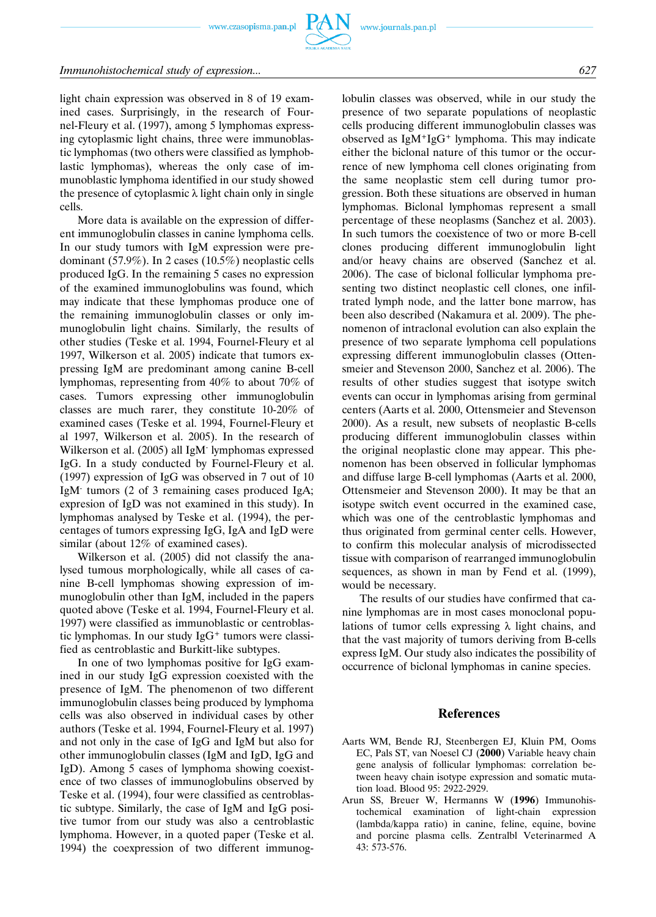light chain expression was observed in 8 of 19 examined cases. Surprisingly, in the research of Fournel-Fleury et al. (1997), among 5 lymphomas expressing cytoplasmic light chains, three were immunoblastic lymphomas (two others were classified as lymphoblastic lymphomas), whereas the only case of immunoblastic lymphoma identified in our study showed the presence of cytoplasmic  $\lambda$  light chain only in single cells.

More data is available on the expression of different immunoglobulin classes in canine lymphoma cells. In our study tumors with IgM expression were predominant (57.9%). In 2 cases (10.5%) neoplastic cells produced IgG. In the remaining 5 cases no expression of the examined immunoglobulins was found, which may indicate that these lymphomas produce one of the remaining immunoglobulin classes or only immunoglobulin light chains. Similarly, the results of other studies (Teske et al. 1994, Fournel-Fleury et al 1997, Wilkerson et al. 2005) indicate that tumors expressing IgM are predominant among canine B-cell lymphomas, representing from 40% to about 70% of cases. Tumors expressing other immunoglobulin classes are much rarer, they constitute 10-20% of examined cases (Teske et al. 1994, Fournel-Fleury et al 1997, Wilkerson et al. 2005). In the research of Wilkerson et al. (2005) all IgM- lymphomas expressed IgG. In a study conducted by Fournel-Fleury et al. (1997) expression of IgG was observed in 7 out of 10 IgM- tumors (2 of 3 remaining cases produced IgA; expresion of IgD was not examined in this study). In lymphomas analysed by Teske et al. (1994), the percentages of tumors expressing IgG, IgA and IgD were similar (about 12% of examined cases).

Wilkerson et al. (2005) did not classify the analysed tumous morphologically, while all cases of canine B-cell lymphomas showing expression of immunoglobulin other than IgM, included in the papers quoted above (Teske et al. 1994, Fournel-Fleury et al. 1997) were classified as immunoblastic or centroblastic lymphomas. In our study  $I \text{gG}^+$  tumors were classified as centroblastic and Burkitt-like subtypes.

In one of two lymphomas positive for IgG examined in our study IgG expression coexisted with the presence of IgM. The phenomenon of two different immunoglobulin classes being produced by lymphoma cells was also observed in individual cases by other authors (Teske et al. 1994, Fournel-Fleury et al. 1997) and not only in the case of IgG and IgM but also for other immunoglobulin classes (IgM and IgD, IgG and IgD). Among 5 cases of lymphoma showing coexistence of two classes of immunoglobulins observed by Teske et al. (1994), four were classified as centroblastic subtype. Similarly, the case of IgM and IgG positive tumor from our study was also a centroblastic lymphoma. However, in a quoted paper (Teske et al. 1994) the coexpression of two different immunoglobulin classes was observed, while in our study the presence of two separate populations of neoplastic cells producing different immunoglobulin classes was observed as  $IgM^{+}IgG^{+}$  lymphoma. This may indicate either the biclonal nature of this tumor or the occurrence of new lymphoma cell clones originating from the same neoplastic stem cell during tumor progression. Both these situations are observed in human lymphomas. Biclonal lymphomas represent a small percentage of these neoplasms (Sanchez et al. 2003). In such tumors the coexistence of two or more B-cell clones producing different immunoglobulin light and/or heavy chains are observed (Sanchez et al. 2006). The case of biclonal follicular lymphoma presenting two distinct neoplastic cell clones, one infiltrated lymph node, and the latter bone marrow, has been also described (Nakamura et al. 2009). The phenomenon of intraclonal evolution can also explain the presence of two separate lymphoma cell populations expressing different immunoglobulin classes (Ottensmeier and Stevenson 2000, Sanchez et al. 2006). The results of other studies suggest that isotype switch events can occur in lymphomas arising from germinal centers (Aarts et al. 2000, Ottensmeier and Stevenson 2000). As a result, new subsets of neoplastic B-cells producing different immunoglobulin classes within the original neoplastic clone may appear. This phenomenon has been observed in follicular lymphomas and diffuse large B-cell lymphomas (Aarts et al. 2000, Ottensmeier and Stevenson 2000). It may be that an isotype switch event occurred in the examined case, which was one of the centroblastic lymphomas and thus originated from germinal center cells. However, to confirm this molecular analysis of microdissected tissue with comparison of rearranged immunoglobulin sequences, as shown in man by Fend et al. (1999), would be necessary.

The results of our studies have confirmed that canine lymphomas are in most cases monoclonal populations of tumor cells expressing  $\lambda$  light chains, and that the vast majority of tumors deriving from B-cells express IgM. Our study also indicates the possibility of occurrence of biclonal lymphomas in canine species.

#### **References**

- Aarts WM, Bende RJ, Steenbergen EJ, Kluin PM, Ooms EC, Pals ST, van Noesel CJ (**2000**) Variable heavy chain gene analysis of follicular lymphomas: correlation between heavy chain isotype expression and somatic mutation load. Blood 95: 2922-2929.
- Arun SS, Breuer W, Hermanns W (**1996**) Immunohistochemical examination of light-chain expression (lambda/kappa ratio) in canine, feline, equine, bovine and porcine plasma cells. Zentralbl Veterinarmed A 43: 573-576.